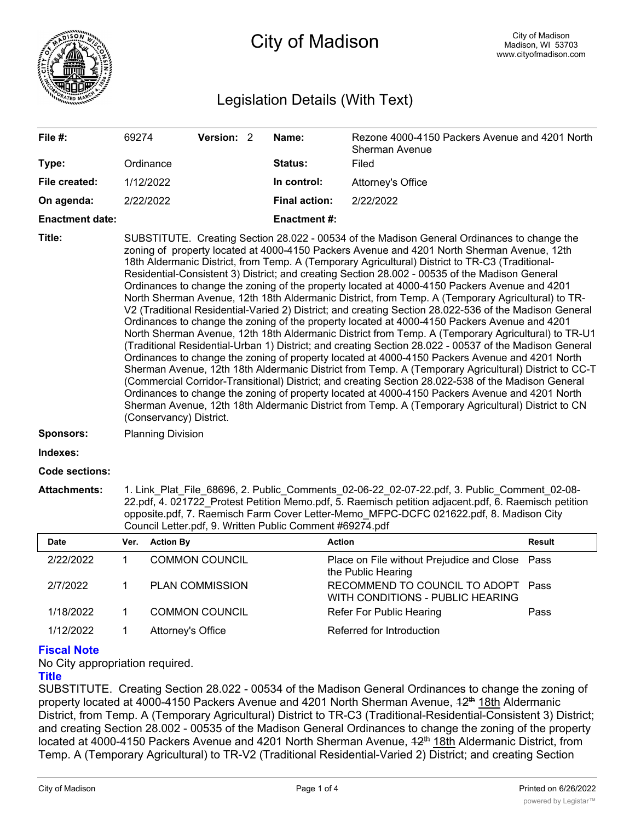

City of Madison

# Legislation Details (With Text)

| File #:                | 69274                                                                                                                                                                                                                                                                                                                                                                                                                                                                                                                                                                                                                                                                                                                                                                                                                                                                                                                                                                                                                                                                                                                                                                                                                                                                                                                                                                                                                                                                                                                                                                             |                   | Version: 2             |  | Name:                | Rezone 4000-4150 Packers Avenue and 4201 North<br>Sherman Avenue  |               |
|------------------------|-----------------------------------------------------------------------------------------------------------------------------------------------------------------------------------------------------------------------------------------------------------------------------------------------------------------------------------------------------------------------------------------------------------------------------------------------------------------------------------------------------------------------------------------------------------------------------------------------------------------------------------------------------------------------------------------------------------------------------------------------------------------------------------------------------------------------------------------------------------------------------------------------------------------------------------------------------------------------------------------------------------------------------------------------------------------------------------------------------------------------------------------------------------------------------------------------------------------------------------------------------------------------------------------------------------------------------------------------------------------------------------------------------------------------------------------------------------------------------------------------------------------------------------------------------------------------------------|-------------------|------------------------|--|----------------------|-------------------------------------------------------------------|---------------|
| Type:                  |                                                                                                                                                                                                                                                                                                                                                                                                                                                                                                                                                                                                                                                                                                                                                                                                                                                                                                                                                                                                                                                                                                                                                                                                                                                                                                                                                                                                                                                                                                                                                                                   | Ordinance         |                        |  | Status:              | Filed                                                             |               |
| File created:          | 1/12/2022                                                                                                                                                                                                                                                                                                                                                                                                                                                                                                                                                                                                                                                                                                                                                                                                                                                                                                                                                                                                                                                                                                                                                                                                                                                                                                                                                                                                                                                                                                                                                                         |                   |                        |  | In control:          | Attorney's Office                                                 |               |
| On agenda:             |                                                                                                                                                                                                                                                                                                                                                                                                                                                                                                                                                                                                                                                                                                                                                                                                                                                                                                                                                                                                                                                                                                                                                                                                                                                                                                                                                                                                                                                                                                                                                                                   | 2/22/2022         |                        |  | <b>Final action:</b> | 2/22/2022                                                         |               |
| <b>Enactment date:</b> |                                                                                                                                                                                                                                                                                                                                                                                                                                                                                                                                                                                                                                                                                                                                                                                                                                                                                                                                                                                                                                                                                                                                                                                                                                                                                                                                                                                                                                                                                                                                                                                   |                   |                        |  | <b>Enactment #:</b>  |                                                                   |               |
| Title:                 | SUBSTITUTE. Creating Section 28.022 - 00534 of the Madison General Ordinances to change the<br>zoning of property located at 4000-4150 Packers Avenue and 4201 North Sherman Avenue, 12th<br>18th Aldermanic District, from Temp. A (Temporary Agricultural) District to TR-C3 (Traditional-<br>Residential-Consistent 3) District; and creating Section 28.002 - 00535 of the Madison General<br>Ordinances to change the zoning of the property located at 4000-4150 Packers Avenue and 4201<br>North Sherman Avenue, 12th 18th Aldermanic District, from Temp. A (Temporary Agricultural) to TR-<br>V2 (Traditional Residential-Varied 2) District; and creating Section 28.022-536 of the Madison General<br>Ordinances to change the zoning of the property located at 4000-4150 Packers Avenue and 4201<br>North Sherman Avenue, 12th 18th Aldermanic District from Temp. A (Temporary Agricultural) to TR-U1<br>(Traditional Residential-Urban 1) District; and creating Section 28.022 - 00537 of the Madison General<br>Ordinances to change the zoning of property located at 4000-4150 Packers Avenue and 4201 North<br>Sherman Avenue, 12th 18th Aldermanic District from Temp. A (Temporary Agricultural) District to CC-T<br>(Commercial Corridor-Transitional) District; and creating Section 28.022-538 of the Madison General<br>Ordinances to change the zoning of property located at 4000-4150 Packers Avenue and 4201 North<br>Sherman Avenue, 12th 18th Aldermanic District from Temp. A (Temporary Agricultural) District to CN<br>(Conservancy) District. |                   |                        |  |                      |                                                                   |               |
| Sponsors:              | <b>Planning Division</b>                                                                                                                                                                                                                                                                                                                                                                                                                                                                                                                                                                                                                                                                                                                                                                                                                                                                                                                                                                                                                                                                                                                                                                                                                                                                                                                                                                                                                                                                                                                                                          |                   |                        |  |                      |                                                                   |               |
| Indexes:               |                                                                                                                                                                                                                                                                                                                                                                                                                                                                                                                                                                                                                                                                                                                                                                                                                                                                                                                                                                                                                                                                                                                                                                                                                                                                                                                                                                                                                                                                                                                                                                                   |                   |                        |  |                      |                                                                   |               |
| Code sections:         |                                                                                                                                                                                                                                                                                                                                                                                                                                                                                                                                                                                                                                                                                                                                                                                                                                                                                                                                                                                                                                                                                                                                                                                                                                                                                                                                                                                                                                                                                                                                                                                   |                   |                        |  |                      |                                                                   |               |
| <b>Attachments:</b>    | 1. Link Plat File 68696, 2. Public Comments 02-06-22 02-07-22.pdf, 3. Public Comment 02-08-<br>22.pdf, 4. 021722 Protest Petition Memo.pdf, 5. Raemisch petition adjacent.pdf, 6. Raemisch petition<br>opposite.pdf, 7. Raemisch Farm Cover Letter-Memo MFPC-DCFC 021622.pdf, 8. Madison City<br>Council Letter.pdf, 9. Written Public Comment #69274.pdf                                                                                                                                                                                                                                                                                                                                                                                                                                                                                                                                                                                                                                                                                                                                                                                                                                                                                                                                                                                                                                                                                                                                                                                                                         |                   |                        |  |                      |                                                                   |               |
| <b>Date</b>            | Ver.                                                                                                                                                                                                                                                                                                                                                                                                                                                                                                                                                                                                                                                                                                                                                                                                                                                                                                                                                                                                                                                                                                                                                                                                                                                                                                                                                                                                                                                                                                                                                                              | <b>Action By</b>  |                        |  |                      | <b>Action</b>                                                     | <b>Result</b> |
| 2/22/2022              | 1                                                                                                                                                                                                                                                                                                                                                                                                                                                                                                                                                                                                                                                                                                                                                                                                                                                                                                                                                                                                                                                                                                                                                                                                                                                                                                                                                                                                                                                                                                                                                                                 |                   | <b>COMMON COUNCIL</b>  |  |                      | Place on File without Prejudice and Close<br>the Public Hearing   | Pass          |
| 2/7/2022               | 1                                                                                                                                                                                                                                                                                                                                                                                                                                                                                                                                                                                                                                                                                                                                                                                                                                                                                                                                                                                                                                                                                                                                                                                                                                                                                                                                                                                                                                                                                                                                                                                 |                   | <b>PLAN COMMISSION</b> |  |                      | RECOMMEND TO COUNCIL TO ADOPT<br>WITH CONDITIONS - PUBLIC HEARING | Pass          |
| 1/18/2022              | 1                                                                                                                                                                                                                                                                                                                                                                                                                                                                                                                                                                                                                                                                                                                                                                                                                                                                                                                                                                                                                                                                                                                                                                                                                                                                                                                                                                                                                                                                                                                                                                                 |                   | <b>COMMON COUNCIL</b>  |  |                      | Refer For Public Hearing                                          | Pass          |
| 1/12/2022              | 1                                                                                                                                                                                                                                                                                                                                                                                                                                                                                                                                                                                                                                                                                                                                                                                                                                                                                                                                                                                                                                                                                                                                                                                                                                                                                                                                                                                                                                                                                                                                                                                 | Attorney's Office |                        |  |                      | Referred for Introduction                                         |               |

## **Fiscal Note**

No City appropriation required.

#### **Title**

SUBSTITUTE. Creating Section 28.022 - 00534 of the Madison General Ordinances to change the zoning of property located at 4000-4150 Packers Avenue and 4201 North Sherman Avenue,  $42<sup>th</sup>$  18th Aldermanic District, from Temp. A (Temporary Agricultural) District to TR-C3 (Traditional-Residential-Consistent 3) District; and creating Section 28.002 - 00535 of the Madison General Ordinances to change the zoning of the property located at 4000-4150 Packers Avenue and 4201 North Sherman Avenue, 42<sup>th</sup> 18th Aldermanic District, from Temp. A (Temporary Agricultural) to TR-V2 (Traditional Residential-Varied 2) District; and creating Section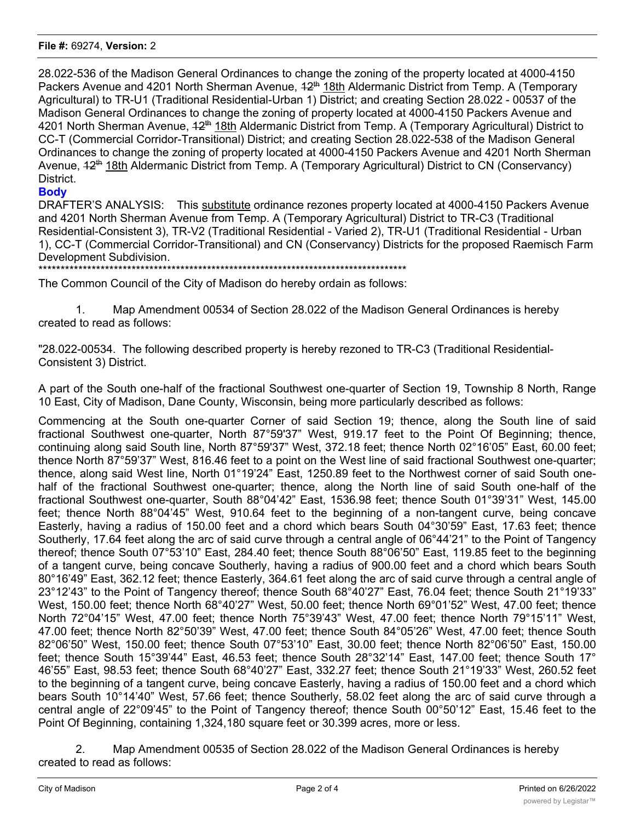#### **File #:** 69274, **Version:** 2

28.022-536 of the Madison General Ordinances to change the zoning of the property located at 4000-4150 Packers Avenue and 4201 North Sherman Avenue,  $42^{th}$  18th Aldermanic District from Temp. A (Temporary Agricultural) to TR-U1 (Traditional Residential-Urban 1) District; and creating Section 28.022 - 00537 of the Madison General Ordinances to change the zoning of property located at 4000-4150 Packers Avenue and 4201 North Sherman Avenue, 42<sup>th</sup> 18th Aldermanic District from Temp. A (Temporary Agricultural) District to CC-T (Commercial Corridor-Transitional) District; and creating Section 28.022-538 of the Madison General Ordinances to change the zoning of property located at 4000-4150 Packers Avenue and 4201 North Sherman Avenue, 42<sup>th</sup> 18th Aldermanic District from Temp. A (Temporary Agricultural) District to CN (Conservancy) District.

### **Body**

DRAFTER'S ANALYSIS: This substitute ordinance rezones property located at 4000-4150 Packers Avenue and 4201 North Sherman Avenue from Temp. A (Temporary Agricultural) District to TR-C3 (Traditional Residential-Consistent 3), TR-V2 (Traditional Residential - Varied 2), TR-U1 (Traditional Residential - Urban 1), CC-T (Commercial Corridor-Transitional) and CN (Conservancy) Districts for the proposed Raemisch Farm Development Subdivision.

\*\*\*\*\*\*\*\*\*\*\*\*\*\*\*\*\*\*\*\*\*\*\*\*\*\*\*\*\*\*\*\*\*\*\*\*\*\*\*\*\*\*\*\*\*\*\*\*\*\*\*\*\*\*\*\*\*\*\*\*\*\*\*\*\*\*\*\*\*\*\*\*\*\*\*\*\*\*\*\*\*\*\*

The Common Council of the City of Madison do hereby ordain as follows:

1. Map Amendment 00534 of Section 28.022 of the Madison General Ordinances is hereby created to read as follows:

"28.022-00534. The following described property is hereby rezoned to TR-C3 (Traditional Residential-Consistent 3) District.

A part of the South one-half of the fractional Southwest one-quarter of Section 19, Township 8 North, Range 10 East, City of Madison, Dane County, Wisconsin, being more particularly described as follows:

Commencing at the South one-quarter Corner of said Section 19; thence, along the South line of said fractional Southwest one-quarter, North 87°59'37" West, 919.17 feet to the Point Of Beginning; thence, continuing along said South line, North 87°59'37" West, 372.18 feet; thence North 02°16'05" East, 60.00 feet; thence North 87°59'37" West, 816.46 feet to a point on the West line of said fractional Southwest one-quarter; thence, along said West line, North 01°19'24" East, 1250.89 feet to the Northwest corner of said South onehalf of the fractional Southwest one-quarter; thence, along the North line of said South one-half of the fractional Southwest one-quarter, South 88°04'42" East, 1536.98 feet; thence South 01°39'31" West, 145.00 feet; thence North 88°04'45" West, 910.64 feet to the beginning of a non-tangent curve, being concave Easterly, having a radius of 150.00 feet and a chord which bears South 04°30'59" East, 17.63 feet; thence Southerly, 17.64 feet along the arc of said curve through a central angle of 06°44'21" to the Point of Tangency thereof; thence South 07°53'10" East, 284.40 feet; thence South 88°06'50" East, 119.85 feet to the beginning of a tangent curve, being concave Southerly, having a radius of 900.00 feet and a chord which bears South 80°16'49" East, 362.12 feet; thence Easterly, 364.61 feet along the arc of said curve through a central angle of 23°12'43" to the Point of Tangency thereof; thence South 68°40'27" East, 76.04 feet; thence South 21°19'33" West, 150.00 feet; thence North 68°40'27" West, 50.00 feet; thence North 69°01'52" West, 47.00 feet; thence North 72°04'15" West, 47.00 feet; thence North 75°39'43" West, 47.00 feet; thence North 79°15'11" West, 47.00 feet; thence North 82°50'39" West, 47.00 feet; thence South 84°05'26" West, 47.00 feet; thence South 82°06'50" West, 150.00 feet; thence South 07°53'10" East, 30.00 feet; thence North 82°06'50" East, 150.00 feet; thence South 15°39'44" East, 46.53 feet; thence South 28°32'14" East, 147.00 feet; thence South 17° 46'55" East, 98.53 feet; thence South 68°40'27" East, 332.27 feet; thence South 21°19'33" West, 260.52 feet to the beginning of a tangent curve, being concave Easterly, having a radius of 150.00 feet and a chord which bears South 10°14'40" West, 57.66 feet; thence Southerly, 58.02 feet along the arc of said curve through a central angle of 22°09'45" to the Point of Tangency thereof; thence South 00°50'12" East, 15.46 feet to the Point Of Beginning, containing 1,324,180 square feet or 30.399 acres, more or less.

2. Map Amendment 00535 of Section 28.022 of the Madison General Ordinances is hereby created to read as follows: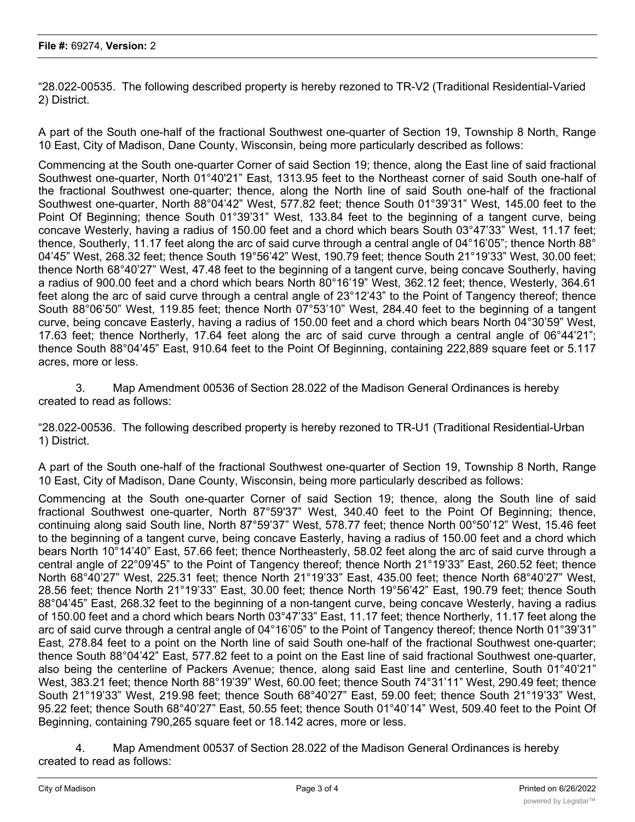"28.022-00535. The following described property is hereby rezoned to TR-V2 (Traditional Residential-Varied 2) District.

A part of the South one-half of the fractional Southwest one-quarter of Section 19, Township 8 North, Range 10 East, City of Madison, Dane County, Wisconsin, being more particularly described as follows:

Commencing at the South one-quarter Corner of said Section 19; thence, along the East line of said fractional Southwest one-quarter, North 01°40'21" East, 1313.95 feet to the Northeast corner of said South one-half of the fractional Southwest one-quarter; thence, along the North line of said South one-half of the fractional Southwest one-quarter, North 88°04'42" West, 577.82 feet; thence South 01°39'31" West, 145.00 feet to the Point Of Beginning; thence South 01°39'31" West, 133.84 feet to the beginning of a tangent curve, being concave Westerly, having a radius of 150.00 feet and a chord which bears South 03°47'33" West, 11.17 feet; thence, Southerly, 11.17 feet along the arc of said curve through a central angle of 04°16'05"; thence North 88° 04'45" West, 268.32 feet; thence South 19°56'42" West, 190.79 feet; thence South 21°19'33" West, 30.00 feet; thence North 68°40'27" West, 47.48 feet to the beginning of a tangent curve, being concave Southerly, having a radius of 900.00 feet and a chord which bears North 80°16'19" West, 362.12 feet; thence, Westerly, 364.61 feet along the arc of said curve through a central angle of 23°12'43" to the Point of Tangency thereof; thence South 88°06'50" West, 119.85 feet; thence North 07°53'10" West, 284.40 feet to the beginning of a tangent curve, being concave Easterly, having a radius of 150.00 feet and a chord which bears North 04°30'59" West, 17.63 feet; thence Northerly, 17.64 feet along the arc of said curve through a central angle of 06°44'21"; thence South 88°04'45" East, 910.64 feet to the Point Of Beginning, containing 222,889 square feet or 5.117 acres, more or less.

3. Map Amendment 00536 of Section 28.022 of the Madison General Ordinances is hereby created to read as follows:

"28.022-00536. The following described property is hereby rezoned to TR-U1 (Traditional Residential-Urban 1) District.

A part of the South one-half of the fractional Southwest one-quarter of Section 19, Township 8 North, Range 10 East, City of Madison, Dane County, Wisconsin, being more particularly described as follows:

Commencing at the South one-quarter Corner of said Section 19; thence, along the South line of said fractional Southwest one-quarter, North 87°59'37" West, 340.40 feet to the Point Of Beginning; thence, continuing along said South line, North 87°59'37" West, 578.77 feet; thence North 00°50'12" West, 15.46 feet to the beginning of a tangent curve, being concave Easterly, having a radius of 150.00 feet and a chord which bears North 10°14'40" East, 57.66 feet; thence Northeasterly, 58.02 feet along the arc of said curve through a central angle of 22°09'45" to the Point of Tangency thereof; thence North 21°19'33" East, 260.52 feet; thence North 68°40'27" West, 225.31 feet; thence North 21°19'33" East, 435.00 feet; thence North 68°40'27" West, 28.56 feet; thence North 21°19'33" East, 30.00 feet; thence North 19°56'42" East, 190.79 feet; thence South 88°04'45" East, 268.32 feet to the beginning of a non-tangent curve, being concave Westerly, having a radius of 150.00 feet and a chord which bears North 03°47'33" East, 11.17 feet; thence Northerly, 11.17 feet along the arc of said curve through a central angle of 04°16'05" to the Point of Tangency thereof; thence North 01°39'31" East, 278.84 feet to a point on the North line of said South one-half of the fractional Southwest one-quarter; thence South 88°04'42" East, 577.82 feet to a point on the East line of said fractional Southwest one-quarter, also being the centerline of Packers Avenue; thence, along said East line and centerline, South 01°40'21" West, 383.21 feet; thence North 88°19'39" West, 60.00 feet; thence South 74°31'11" West, 290.49 feet; thence South 21°19'33" West, 219.98 feet; thence South 68°40'27" East, 59.00 feet; thence South 21°19'33" West, 95.22 feet; thence South 68°40'27" East, 50.55 feet; thence South 01°40'14" West, 509.40 feet to the Point Of Beginning, containing 790,265 square feet or 18.142 acres, more or less.

4. Map Amendment 00537 of Section 28.022 of the Madison General Ordinances is hereby created to read as follows: